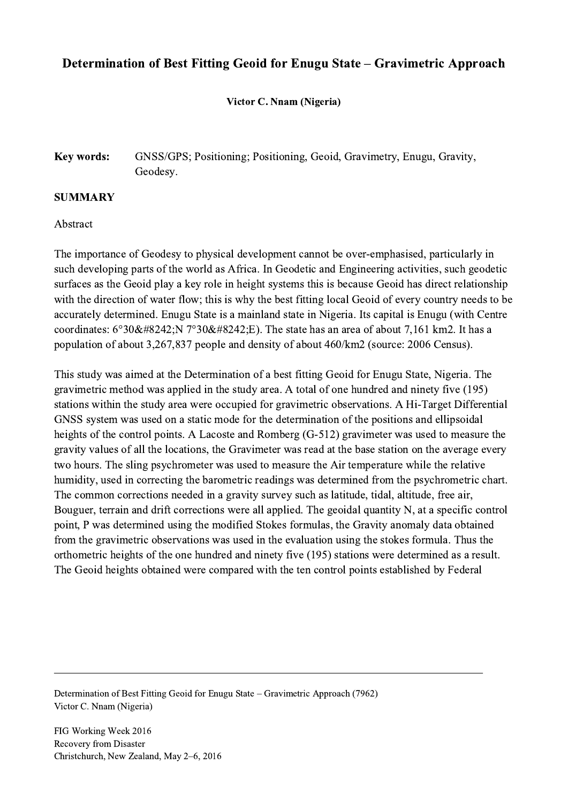## Determination of Best Fitting Geoid for Enugu State – Gravimetric Approach

Victor C. Nnam (Nigeria)

## Key words: GNSS/GPS; Positioning; Positioning, Geoid, Gravimetry, Enugu, Gravity, Geodesy.

## SUMMARY

Abstract

The importance of Geodesy to physical development cannot be over-emphasised, particularly in such developing parts of the world as Africa. In Geodetic and Engineering activities, such geodetic surfaces as the Geoid play a key role in height systems this is because Geoid has direct relationship with the direction of water flow; this is why the best fitting local Geoid of every country needs to be accurately determined. Enugu State is a mainland state in Nigeria. Its capital is Enugu (with Centre coordinates:  $6^{\circ}30\&\#8242$ ; N  $7^{\circ}30\&\#8242$ ; E). The state has an area of about 7,161 km2. It has a population of about 3,267,837 people and density of about 460/km2 (source: 2006 Census).

This study was aimed at the Determination of a best fitting Geoid for Enugu State, Nigeria. The gravimetric method was applied in the study area. A total of one hundred and ninety five (195) stations within the study area were occupied for gravimetric observations. A Hi-Target Differential GNSS system was used on a static mode for the determination of the positions and ellipsoidal heights of the control points. A Lacoste and Romberg (G-512) gravimeter was used to measure the gravity values of all the locations, the Gravimeter was read at the base station on the average every two hours. The sling psychrometer was used to measure the Air temperature while the relative humidity, used in correcting the barometric readings was determined from the psychrometric chart. The common corrections needed in a gravity survey such as latitude, tidal, altitude, free air, Bouguer, terrain and drift corrections were all applied. The geoidal quantity N, at a specific control point, P was determined using the modified Stokes formulas, the Gravity anomaly data obtained from the gravimetric observations was used in the evaluation using the stokes formula. Thus the orthometric heights of the one hundred and ninety five (195) stations were determined as a result. The Geoid heights obtained were compared with the ten control points established by Federal

 $\mathcal{L}_\mathcal{L} = \{ \mathcal{L}_\mathcal{L} = \{ \mathcal{L}_\mathcal{L} = \{ \mathcal{L}_\mathcal{L} = \{ \mathcal{L}_\mathcal{L} = \{ \mathcal{L}_\mathcal{L} = \{ \mathcal{L}_\mathcal{L} = \{ \mathcal{L}_\mathcal{L} = \{ \mathcal{L}_\mathcal{L} = \{ \mathcal{L}_\mathcal{L} = \{ \mathcal{L}_\mathcal{L} = \{ \mathcal{L}_\mathcal{L} = \{ \mathcal{L}_\mathcal{L} = \{ \mathcal{L}_\mathcal{L} = \{ \mathcal{L}_\mathcal{$ 

Determination of Best Fitting Geoid for Enugu State – Gravimetric Approach (7962) Victor C. Nnam (Nigeria)

FIG Working Week 2016 Recovery from Disaster Christchurch, New Zealand, May 2–6, 2016